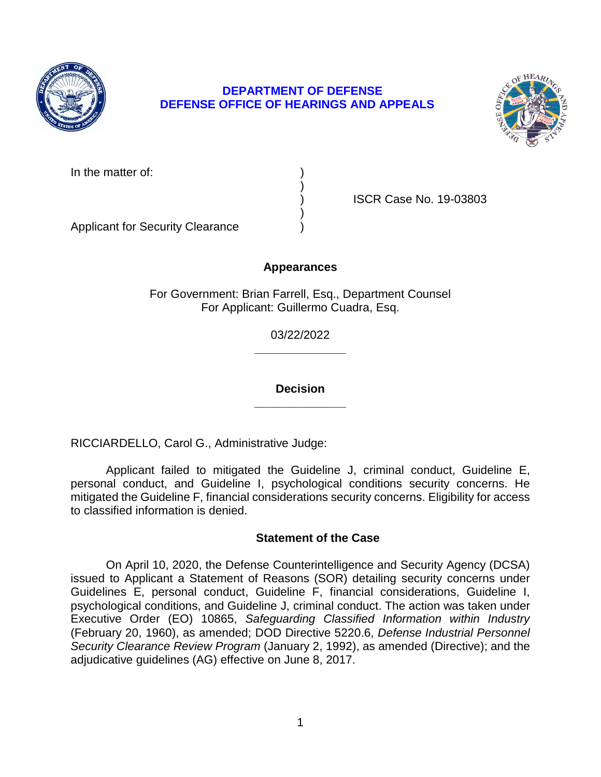

# **DEPARTMENT OF DEFENSE DEFENSE OFFICE OF HEARINGS AND APPEALS**



In the matter of:

) ISCR Case No. 19-03803

Applicant for Security Clearance )

# **Appearances**

)

)

For Government: Brian Farrell, Esq., Department Counsel For Applicant: Guillermo Cuadra, Esq.

> **\_\_\_\_\_\_\_\_\_\_\_\_\_\_**  03/22/2022

> **\_\_\_\_\_\_\_\_\_\_\_\_\_\_ Decision**

RICCIARDELLO, Carol G., Administrative Judge:

 Applicant failed to mitigated the Guideline J, criminal conduct, Guideline E, personal conduct, and Guideline I, psychological conditions security concerns. He mitigated the Guideline F, financial considerations security concerns. Eligibility for access to classified information is denied.

# **Statement of the Case**

 On April 10, 2020, the Defense Counterintelligence and Security Agency (DCSA) issued to Applicant a Statement of Reasons (SOR) detailing security concerns under Guidelines E, personal conduct, Guideline F, financial considerations, Guideline I, psychological conditions, and Guideline J, criminal conduct. The action was taken under  Executive Order (EO) 10865, *Safeguarding Classified Information within Industry*  (February 20, 1960), as amended; DOD Directive 5220.6, *Defense Industrial Personnel Security Clearance Review Program* (January 2, 1992), as amended (Directive); and the adjudicative guidelines (AG) effective on June 8, 2017.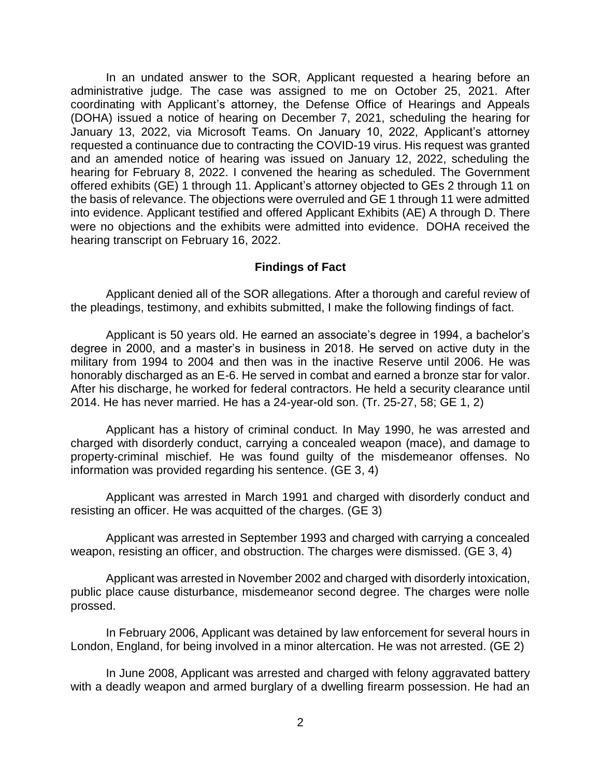In an undated answer to the SOR, Applicant requested a hearing before an administrative judge. The case was assigned to me on October 25, 2021. After coordinating with Applicant's attorney, the Defense Office of Hearings and Appeals (DOHA) issued a notice of hearing on December 7, 2021, scheduling the hearing for January 13, 2022, via Microsoft Teams. On January 10, 2022, Applicant's attorney requested a continuance due to contracting the COVID-19 virus. His request was granted and an amended notice of hearing was issued on January 12, 2022, scheduling the hearing for February 8, 2022. I convened the hearing as scheduled. The Government the basis of relevance. The objections were overruled and GE 1 through 11 were admitted into evidence. Applicant testified and offered Applicant Exhibits (AE) A through D. There were no objections and the exhibits were admitted into evidence. DOHA received the offered exhibits (GE) 1 through 11. Applicant's attorney objected to GEs 2 through 11 on hearing transcript on February 16, 2022.

### **Findings of Fact**

 Applicant denied all of the SOR allegations. After a thorough and careful review of the pleadings, testimony, and exhibits submitted, I make the following findings of fact.

 Applicant is 50 years old. He earned an associate's degree in 1994, a bachelor's degree in 2000, and a master's in business in 2018. He served on active duty in the military from 1994 to 2004 and then was in the inactive Reserve until 2006. He was honorably discharged as an E-6. He served in combat and earned a bronze star for valor. After his discharge, he worked for federal contractors. He held a security clearance until 2014. He has never married. He has a 24-year-old son. (Tr. 25-27, 58; GE 1, 2)

 Applicant has a history of criminal conduct. In May 1990, he was arrested and charged with disorderly conduct, carrying a concealed weapon (mace), and damage to property-criminal mischief. He was found guilty of the misdemeanor offenses. No information was provided regarding his sentence. (GE 3, 4)

 Applicant was arrested in March 1991 and charged with disorderly conduct and resisting an officer. He was acquitted of the charges. (GE 3)

 Applicant was arrested in September 1993 and charged with carrying a concealed weapon, resisting an officer, and obstruction. The charges were dismissed. (GE 3, 4)

 Applicant was arrested in November 2002 and charged with disorderly intoxication, public place cause disturbance, misdemeanor second degree. The charges were nolle prossed.

 In February 2006, Applicant was detained by law enforcement for several hours in London, England, for being involved in a minor altercation. He was not arrested. (GE 2)

 In June 2008, Applicant was arrested and charged with felony aggravated battery with a deadly weapon and armed burglary of a dwelling firearm possession. He had an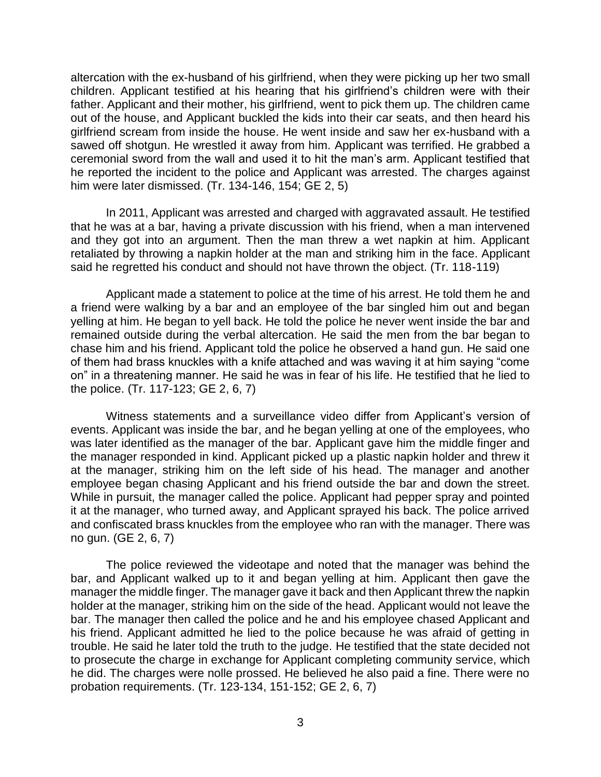altercation with the ex-husband of his girlfriend, when they were picking up her two small children. Applicant testified at his hearing that his girlfriend's children were with their father. Applicant and their mother, his girlfriend, went to pick them up. The children came out of the house, and Applicant buckled the kids into their car seats, and then heard his girlfriend scream from inside the house. He went inside and saw her ex-husband with a sawed off shotgun. He wrestled it away from him. Applicant was terrified. He grabbed a ceremonial sword from the wall and used it to hit the man's arm. Applicant testified that he reported the incident to the police and Applicant was arrested. The charges against him were later dismissed. (Tr. 134-146, 154; GE 2, 5)

 In 2011, Applicant was arrested and charged with aggravated assault. He testified that he was at a bar, having a private discussion with his friend, when a man intervened and they got into an argument. Then the man threw a wet napkin at him. Applicant retaliated by throwing a napkin holder at the man and striking him in the face. Applicant said he regretted his conduct and should not have thrown the object. (Tr. 118-119)

 Applicant made a statement to police at the time of his arrest. He told them he and a friend were walking by a bar and an employee of the bar singled him out and began yelling at him. He began to yell back. He told the police he never went inside the bar and remained outside during the verbal altercation. He said the men from the bar began to chase him and his friend. Applicant told the police he observed a hand gun. He said one of them had brass knuckles with a knife attached and was waving it at him saying "come on" in a threatening manner. He said he was in fear of his life. He testified that he lied to the police. (Tr. 117-123; GE 2, 6, 7)

 Witness statements and a surveillance video differ from Applicant's version of events. Applicant was inside the bar, and he began yelling at one of the employees, who was later identified as the manager of the bar. Applicant gave him the middle finger and the manager responded in kind. Applicant picked up a plastic napkin holder and threw it at the manager, striking him on the left side of his head. The manager and another employee began chasing Applicant and his friend outside the bar and down the street. While in pursuit, the manager called the police. Applicant had pepper spray and pointed it at the manager, who turned away, and Applicant sprayed his back. The police arrived and confiscated brass knuckles from the employee who ran with the manager. There was no gun. (GE 2, 6, 7)

 The police reviewed the videotape and noted that the manager was behind the bar, and Applicant walked up to it and began yelling at him. Applicant then gave the manager the middle finger. The manager gave it back and then Applicant threw the napkin holder at the manager, striking him on the side of the head. Applicant would not leave the bar. The manager then called the police and he and his employee chased Applicant and his friend. Applicant admitted he lied to the police because he was afraid of getting in to prosecute the charge in exchange for Applicant completing community service, which he did. The charges were nolle prossed. He believed he also paid a fine. There were no trouble. He said he later told the truth to the judge. He testified that the state decided not probation requirements. (Tr. 123-134, 151-152; GE 2, 6, 7)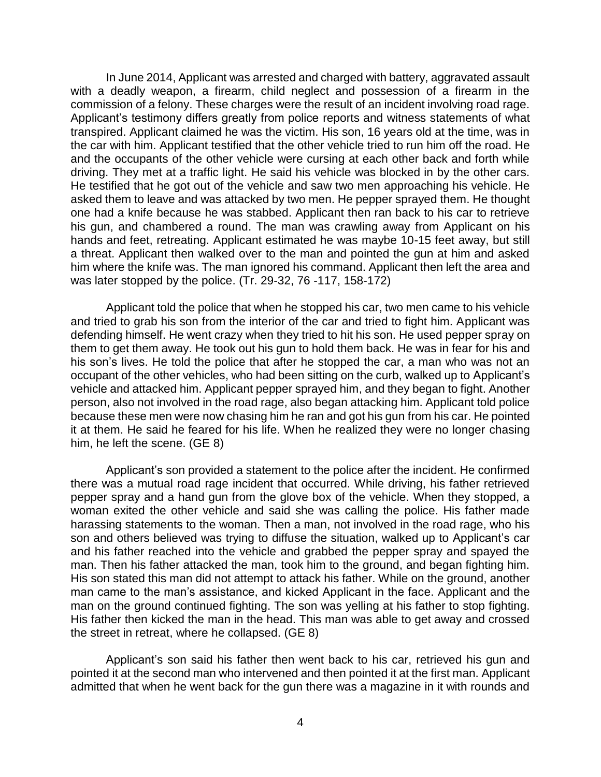In June 2014, Applicant was arrested and charged with battery, aggravated assault with a deadly weapon, a firearm, child neglect and possession of a firearm in the commission of a felony. These charges were the result of an incident involving road rage. Applicant's testimony differs greatly from police reports and witness statements of what the car with him. Applicant testified that the other vehicle tried to run him off the road. He and the occupants of the other vehicle were cursing at each other back and forth while driving. They met at a traffic light. He said his vehicle was blocked in by the other cars. He testified that he got out of the vehicle and saw two men approaching his vehicle. He asked them to leave and was attacked by two men. He pepper sprayed them. He thought one had a knife because he was stabbed. Applicant then ran back to his car to retrieve his gun, and chambered a round. The man was crawling away from Applicant on his hands and feet, retreating. Applicant estimated he was maybe 10-15 feet away, but still a threat. Applicant then walked over to the man and pointed the gun at him and asked him where the knife was. The man ignored his command. Applicant then left the area and transpired. Applicant claimed he was the victim. His son, 16 years old at the time, was in was later stopped by the police. (Tr. 29-32, 76 -117, 158-172)

 Applicant told the police that when he stopped his car, two men came to his vehicle and tried to grab his son from the interior of the car and tried to fight him. Applicant was defending himself. He went crazy when they tried to hit his son. He used pepper spray on them to get them away. He took out his gun to hold them back. He was in fear for his and his son's lives. He told the police that after he stopped the car, a man who was not an occupant of the other vehicles, who had been sitting on the curb, walked up to Applicant's vehicle and attacked him. Applicant pepper sprayed him, and they began to fight. Another person, also not involved in the road rage, also began attacking him. Applicant told police because these men were now chasing him he ran and got his gun from his car. He pointed it at them. He said he feared for his life. When he realized they were no longer chasing him, he left the scene. (GE 8)

 Applicant's son provided a statement to the police after the incident. He confirmed there was a mutual road rage incident that occurred. While driving, his father retrieved pepper spray and a hand gun from the glove box of the vehicle. When they stopped, a woman exited the other vehicle and said she was calling the police. His father made harassing statements to the woman. Then a man, not involved in the road rage, who his son and others believed was trying to diffuse the situation, walked up to Applicant's car and his father reached into the vehicle and grabbed the pepper spray and spayed the man. Then his father attacked the man, took him to the ground, and began fighting him. His son stated this man did not attempt to attack his father. While on the ground, another man came to the man's assistance, and kicked Applicant in the face. Applicant and the man on the ground continued fighting. The son was yelling at his father to stop fighting. His father then kicked the man in the head. This man was able to get away and crossed the street in retreat, where he collapsed. (GE 8)

 Applicant's son said his father then went back to his car, retrieved his gun and pointed it at the second man who intervened and then pointed it at the first man. Applicant admitted that when he went back for the gun there was a magazine in it with rounds and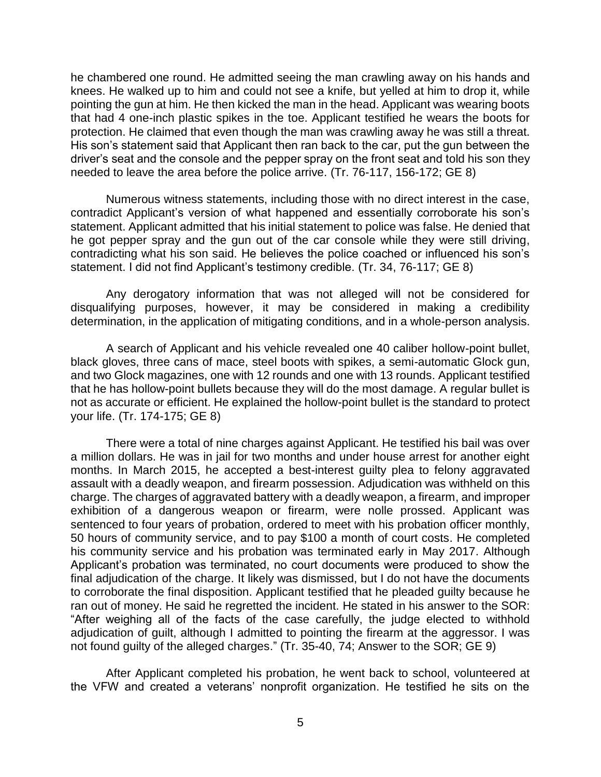he chambered one round. He admitted seeing the man crawling away on his hands and knees. He walked up to him and could not see a knife, but yelled at him to drop it, while pointing the gun at him. He then kicked the man in the head. Applicant was wearing boots that had 4 one-inch plastic spikes in the toe. Applicant testified he wears the boots for protection. He claimed that even though the man was crawling away he was still a threat. His son's statement said that Applicant then ran back to the car, put the gun between the driver's seat and the console and the pepper spray on the front seat and told his son they needed to leave the area before the police arrive. (Tr. 76-117, 156-172; GE 8)

 Numerous witness statements, including those with no direct interest in the case, contradict Applicant's version of what happened and essentially corroborate his son's statement. Applicant admitted that his initial statement to police was false. He denied that he got pepper spray and the gun out of the car console while they were still driving, contradicting what his son said. He believes the police coached or influenced his son's statement. I did not find Applicant's testimony credible. (Tr. 34, 76-117; GE 8)

 Any derogatory information that was not alleged will not be considered for disqualifying purposes, however, it may be considered in making a credibility determination, in the application of mitigating conditions, and in a whole-person analysis.

 A search of Applicant and his vehicle revealed one 40 caliber hollow-point bullet, black gloves, three cans of mace, steel boots with spikes, a semi-automatic Glock gun, and two Glock magazines, one with 12 rounds and one with 13 rounds. Applicant testified that he has hollow-point bullets because they will do the most damage. A regular bullet is not as accurate or efficient. He explained the hollow-point bullet is the standard to protect your life. (Tr. 174-175; GE 8)

 There were a total of nine charges against Applicant. He testified his bail was over a million dollars. He was in jail for two months and under house arrest for another eight months. In March 2015, he accepted a best-interest guilty plea to felony aggravated assault with a deadly weapon, and firearm possession. Adjudication was withheld on this charge. The charges of aggravated battery with a deadly weapon, a firearm, and improper exhibition of a dangerous weapon or firearm, were nolle prossed. Applicant was sentenced to four years of probation, ordered to meet with his probation officer monthly, 50 hours of community service, and to pay \$100 a month of court costs. He completed Applicant's probation was terminated, no court documents were produced to show the final adjudication of the charge. It likely was dismissed, but I do not have the documents to corroborate the final disposition. Applicant testified that he pleaded guilty because he ran out of money. He said he regretted the incident. He stated in his answer to the SOR: "After weighing all of the facts of the case carefully, the judge elected to withhold adjudication of guilt, although I admitted to pointing the firearm at the aggressor. I was his community service and his probation was terminated early in May 2017. Although not found guilty of the alleged charges." (Tr. 35-40, 74; Answer to the SOR; GE 9)

After Applicant completed his probation, he went back to school, volunteered at the VFW and created a veterans' nonprofit organization. He testified he sits on the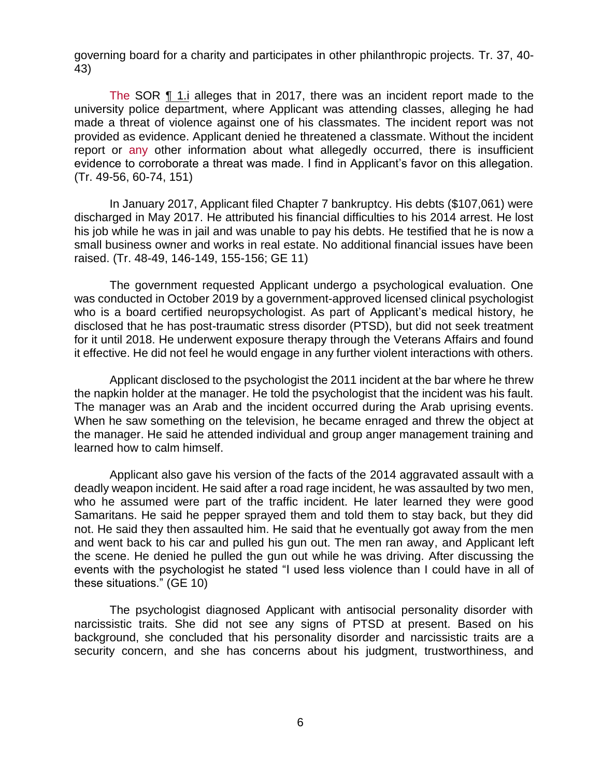governing board for a charity and participates in other philanthropic projects. Tr. 37, 40- 43)

Ĩ The SOR ¶ 1.i alleges that in 2017, there was an incident report made to the university police department, where Applicant was attending classes, alleging he had made a threat of violence against one of his classmates. The incident report was not provided as evidence. Applicant denied he threatened a classmate. Without the incident report or any other information about what allegedly occurred, there is insufficient evidence to corroborate a threat was made. I find in Applicant's favor on this allegation. (Tr. 49-56, 60-74, 151)

In January 2017, Applicant filed Chapter 7 bankruptcy. His debts (\$107,061) were discharged in May 2017. He attributed his financial difficulties to his 2014 arrest. He lost his job while he was in jail and was unable to pay his debts. He testified that he is now a small business owner and works in real estate. No additional financial issues have been raised. (Tr. 48-49, 146-149, 155-156; GE 11)

Ĭ The government requested Applicant undergo a psychological evaluation. One was conducted in October 2019 by a government-approved licensed clinical psychologist who is a board certified neuropsychologist. As part of Applicant's medical history, he disclosed that he has post-traumatic stress disorder (PTSD), but did not seek treatment for it until 2018. He underwent exposure therapy through the Veterans Affairs and found it effective. He did not feel he would engage in any further violent interactions with others.

 Applicant disclosed to the psychologist the 2011 incident at the bar where he threw Ĩ. the napkin holder at the manager. He told the psychologist that the incident was his fault. The manager was an Arab and the incident occurred during the Arab uprising events. When he saw something on the television, he became enraged and threw the object at the manager. He said he attended individual and group anger management training and learned how to calm himself.

Ï Applicant also gave his version of the facts of the 2014 aggravated assault with a deadly weapon incident. He said after a road rage incident, he was assaulted by two men, who he assumed were part of the traffic incident. He later learned they were good Samaritans. He said he pepper sprayed them and told them to stay back, but they did not. He said they then assaulted him. He said that he eventually got away from the men and went back to his car and pulled his gun out. The men ran away, and Applicant left the scene. He denied he pulled the gun out while he was driving. After discussing the events with the psychologist he stated "I used less violence than I could have in all of these situations." (GE 10)

 background, she concluded that his personality disorder and narcissistic traits are a ۔<br>۱ Ĵ The psychologist diagnosed Applicant with antisocial personality disorder with narcissistic traits. She did not see any signs of PTSD at present. Based on his security concern, and she has concerns about his judgment, trustworthiness, and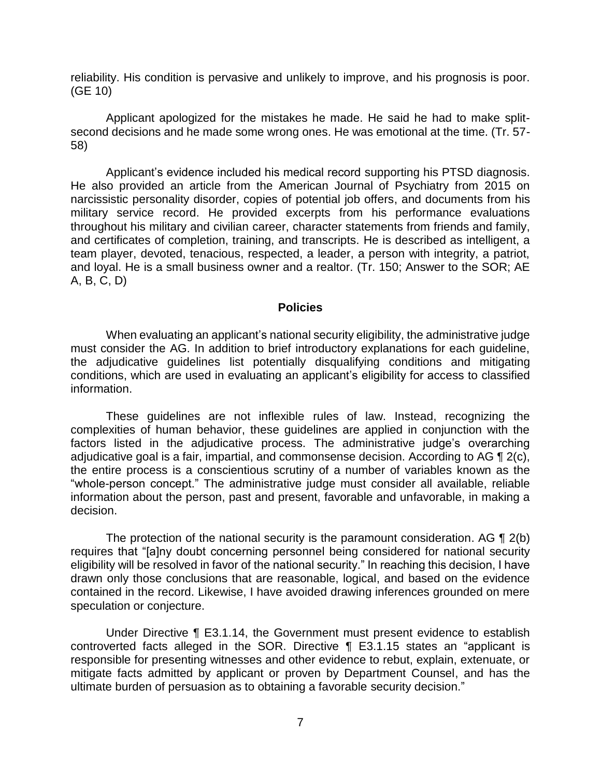reliability. His condition is pervasive and unlikely to improve, and his prognosis is poor. (GE 10)

Applicant apologized for the mistakes he made. He said he had to make splitsecond decisions and he made some wrong ones. He was emotional at the time. (Tr. 57- 58)

 Applicant's evidence included his medical record supporting his PTSD diagnosis. He also provided an article from the American Journal of Psychiatry from 2015 on narcissistic personality disorder, copies of potential job offers, and documents from his military service record. He provided excerpts from his performance evaluations throughout his military and civilian career, character statements from friends and family, and certificates of completion, training, and transcripts. He is described as intelligent, a team player, devoted, tenacious, respected, a leader, a person with integrity, a patriot, and loyal. He is a small business owner and a realtor. (Tr. 150; Answer to the SOR; AE A, B, C, D)

### **Policies**

 When evaluating an applicant's national security eligibility, the administrative judge must consider the AG. In addition to brief introductory explanations for each guideline, the adjudicative guidelines list potentially disqualifying conditions and mitigating conditions, which are used in evaluating an applicant's eligibility for access to classified information.

 These guidelines are not inflexible rules of law. Instead, recognizing the complexities of human behavior, these guidelines are applied in conjunction with the factors listed in the adjudicative process. The administrative judge's overarching adjudicative goal is a fair, impartial, and commonsense decision. According to AG  $\P$  2(c), the entire process is a conscientious scrutiny of a number of variables known as the "whole-person concept." The administrative judge must consider all available, reliable information about the person, past and present, favorable and unfavorable, in making a decision.

The protection of the national security is the paramount consideration. AG  $\P$  2(b) eligibility will be resolved in favor of the national security." In reaching this decision, I have drawn only those conclusions that are reasonable, logical, and based on the evidence contained in the record. Likewise, I have avoided drawing inferences grounded on mere requires that "[a]ny doubt concerning personnel being considered for national security speculation or conjecture.

 Under Directive ¶ E3.1.14, the Government must present evidence to establish controverted facts alleged in the SOR. Directive ¶ E3.1.15 states an "applicant is responsible for presenting witnesses and other evidence to rebut, explain, extenuate, or mitigate facts admitted by applicant or proven by Department Counsel, and has the ultimate burden of persuasion as to obtaining a favorable security decision."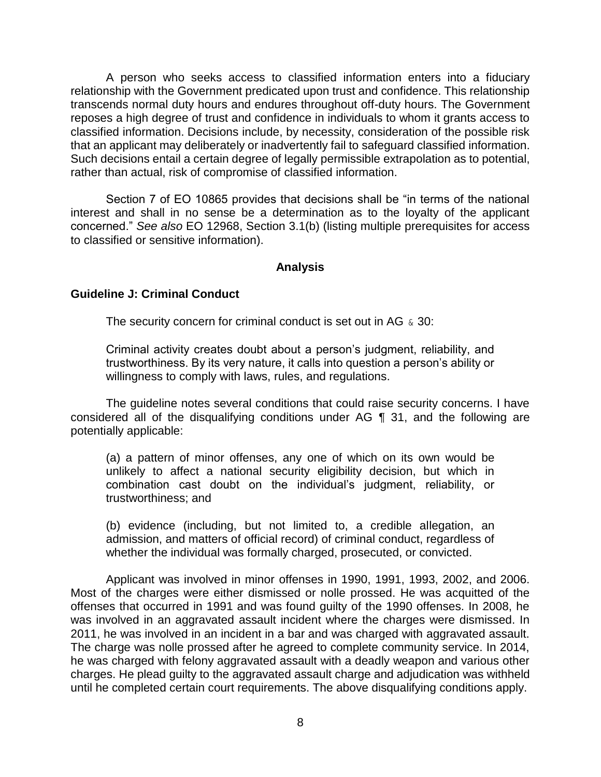A person who seeks access to classified information enters into a fiduciary relationship with the Government predicated upon trust and confidence. This relationship transcends normal duty hours and endures throughout off-duty hours. The Government reposes a high degree of trust and confidence in individuals to whom it grants access to classified information. Decisions include, by necessity, consideration of the possible risk that an applicant may deliberately or inadvertently fail to safeguard classified information. Such decisions entail a certain degree of legally permissible extrapolation as to potential, rather than actual, risk of compromise of classified information.

 Section 7 of EO 10865 provides that decisions shall be "in terms of the national interest and shall in no sense be a determination as to the loyalty of the applicant concerned." *See also* EO 12968, Section 3.1(b) (listing multiple prerequisites for access to classified or sensitive information).

### **Analysis**

### **Guideline J: Criminal Conduct**

The security concern for criminal conduct is set out in AG  $\&$  30:

Criminal activity creates doubt about a person's judgment, reliability, and trustworthiness. By its very nature, it calls into question a person's ability or willingness to comply with laws, rules, and regulations.

 The guideline notes several conditions that could raise security concerns. I have considered all of the disqualifying conditions under AG ¶ 31, and the following are potentially applicable:

(a) a pattern of minor offenses, any one of which on its own would be unlikely to affect a national security eligibility decision, but which in combination cast doubt on the individual's judgment, reliability, or trustworthiness; and

 (b) evidence (including, but not limited to, a credible allegation, an admission, and matters of official record) of criminal conduct, regardless of whether the individual was formally charged, prosecuted, or convicted.

 Applicant was involved in minor offenses in 1990, 1991, 1993, 2002, and 2006. Most of the charges were either dismissed or nolle prossed. He was acquitted of the offenses that occurred in 1991 and was found guilty of the 1990 offenses. In 2008, he was involved in an aggravated assault incident where the charges were dismissed. In 2011, he was involved in an incident in a bar and was charged with aggravated assault. The charge was nolle prossed after he agreed to complete community service. In 2014, he was charged with felony aggravated assault with a deadly weapon and various other charges. He plead guilty to the aggravated assault charge and adjudication was withheld until he completed certain court requirements. The above disqualifying conditions apply.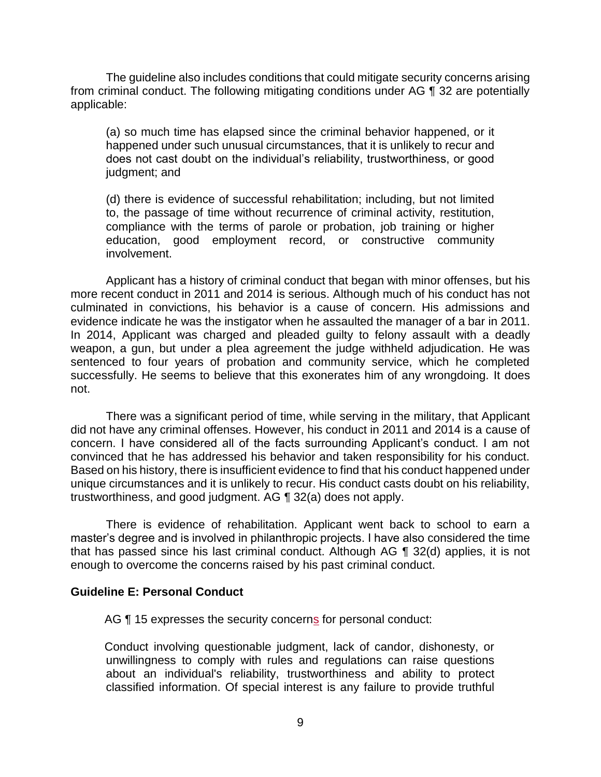The guideline also includes conditions that could mitigate security concerns arising from criminal conduct. The following mitigating conditions under AG ¶ 32 are potentially applicable:

(a) so much time has elapsed since the criminal behavior happened, or it happened under such unusual circumstances, that it is unlikely to recur and does not cast doubt on the individual's reliability, trustworthiness, or good judgment; and

 (d) there is evidence of successful rehabilitation; including, but not limited to, the passage of time without recurrence of criminal activity, restitution, compliance with the terms of parole or probation, job training or higher education, good employment record, or constructive community involvement.

 Applicant has a history of criminal conduct that began with minor offenses, but his more recent conduct in 2011 and 2014 is serious. Although much of his conduct has not culminated in convictions, his behavior is a cause of concern. His admissions and evidence indicate he was the instigator when he assaulted the manager of a bar in 2011. In 2014, Applicant was charged and pleaded guilty to felony assault with a deadly weapon, a gun, but under a plea agreement the judge withheld adjudication. He was sentenced to four years of probation and community service, which he completed successfully. He seems to believe that this exonerates him of any wrongdoing. It does not.

 There was a significant period of time, while serving in the military, that Applicant did not have any criminal offenses. However, his conduct in 2011 and 2014 is a cause of concern. I have considered all of the facts surrounding Applicant's conduct. I am not convinced that he has addressed his behavior and taken responsibility for his conduct. Based on his history, there is insufficient evidence to find that his conduct happened under unique circumstances and it is unlikely to recur. His conduct casts doubt on his reliability, trustworthiness, and good judgment. AG ¶ 32(a) does not apply.

 There is evidence of rehabilitation. Applicant went back to school to earn a master's degree and is involved in philanthropic projects. I have also considered the time that has passed since his last criminal conduct. Although AG ¶ 32(d) applies, it is not enough to overcome the concerns raised by his past criminal conduct.

### **Guideline E: Personal Conduct**

AG ¶ 15 expresses the security concerns for personal conduct:

 unwillingness to comply with rules and regulations can raise questions about an individual's reliability, trustworthiness and ability to protect classified information. Of special interest is any failure to provide truthful Conduct involving questionable judgment, lack of candor, dishonesty, or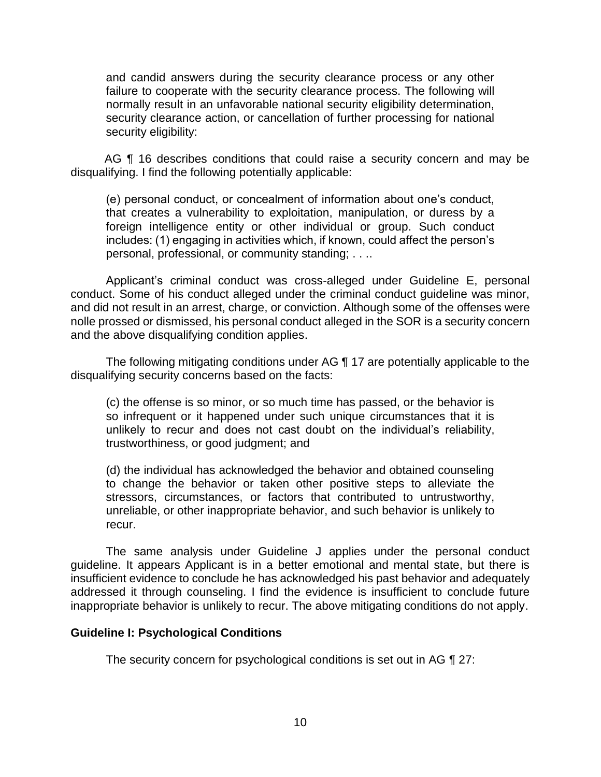and candid answers during the security clearance process or any other failure to cooperate with the security clearance process. The following will normally result in an unfavorable national security eligibility determination, security clearance action, or cancellation of further processing for national security eligibility:

AG ¶ 16 describes conditions that could raise a security concern and may be disqualifying. I find the following potentially applicable:

(e) personal conduct, or concealment of information about one's conduct, that creates a vulnerability to exploitation, manipulation, or duress by a foreign intelligence entity or other individual or group. Such conduct includes: (1) engaging in activities which, if known, could affect the person's personal, professional, or community standing; . . ..

 Applicant's criminal conduct was cross-alleged under Guideline E, personal conduct. Some of his conduct alleged under the criminal conduct guideline was minor, and did not result in an arrest, charge, or conviction. Although some of the offenses were nolle prossed or dismissed, his personal conduct alleged in the SOR is a security concern and the above disqualifying condition applies.

 The following mitigating conditions under AG ¶ 17 are potentially applicable to the disqualifying security concerns based on the facts:

(c) the offense is so minor, or so much time has passed, or the behavior is so infrequent or it happened under such unique circumstances that it is unlikely to recur and does not cast doubt on the individual's reliability, trustworthiness, or good judgment; and

(d) the individual has acknowledged the behavior and obtained counseling to change the behavior or taken other positive steps to alleviate the stressors, circumstances, or factors that contributed to untrustworthy, unreliable, or other inappropriate behavior, and such behavior is unlikely to recur.

 The same analysis under Guideline J applies under the personal conduct insufficient evidence to conclude he has acknowledged his past behavior and adequately addressed it through counseling. I find the evidence is insufficient to conclude future guideline. It appears Applicant is in a better emotional and mental state, but there is inappropriate behavior is unlikely to recur. The above mitigating conditions do not apply.

### **Guideline I: Psychological Conditions**

The security concern for psychological conditions is set out in AG ¶ 27: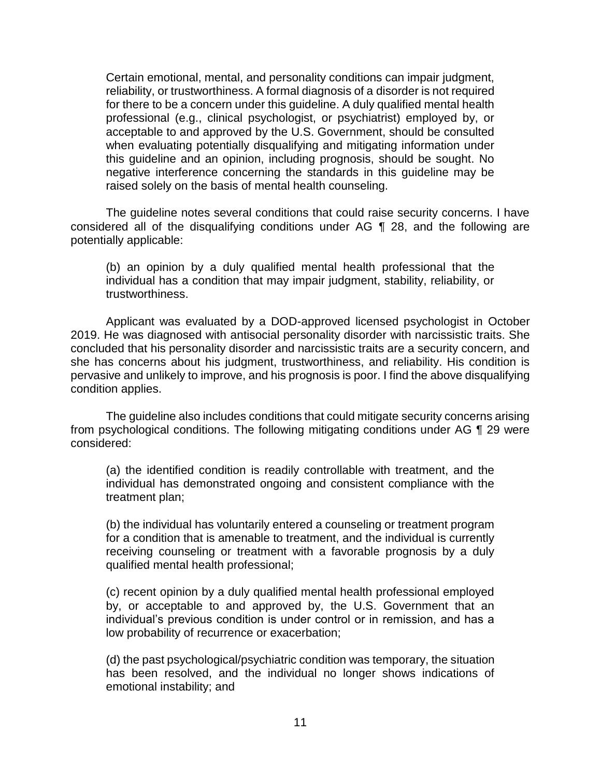Certain emotional, mental, and personality conditions can impair judgment, reliability, or trustworthiness. A formal diagnosis of a disorder is not required for there to be a concern under this guideline. A duly qualified mental health acceptable to and approved by the U.S. Government, should be consulted when evaluating potentially disqualifying and mitigating information under this guideline and an opinion, including prognosis, should be sought. No negative interference concerning the standards in this guideline may be professional (e.g., clinical psychologist, or psychiatrist) employed by, or raised solely on the basis of mental health counseling.

 The guideline notes several conditions that could raise security concerns. I have considered all of the disqualifying conditions under AG ¶ 28, and the following are potentially applicable:

(b) an opinion by a duly qualified mental health professional that the individual has a condition that may impair judgment, stability, reliability, or trustworthiness.

 Applicant was evaluated by a DOD-approved licensed psychologist in October 2019. He was diagnosed with antisocial personality disorder with narcissistic traits. She she has concerns about his judgment, trustworthiness, and reliability. His condition is pervasive and unlikely to improve, and his prognosis is poor. I find the above disqualifying concluded that his personality disorder and narcissistic traits are a security concern, and condition applies.

 The guideline also includes conditions that could mitigate security concerns arising from psychological conditions. The following mitigating conditions under AG 1 29 were considered:

(a) the identified condition is readily controllable with treatment, and the individual has demonstrated ongoing and consistent compliance with the treatment plan;

(b) the individual has voluntarily entered a counseling or treatment program for a condition that is amenable to treatment, and the individual is currently receiving counseling or treatment with a favorable prognosis by a duly qualified mental health professional;

(c) recent opinion by a duly qualified mental health professional employed by, or acceptable to and approved by, the U.S. Government that an individual's previous condition is under control or in remission, and has a low probability of recurrence or exacerbation;

(d) the past psychological/psychiatric condition was temporary, the situation has been resolved, and the individual no longer shows indications of emotional instability; and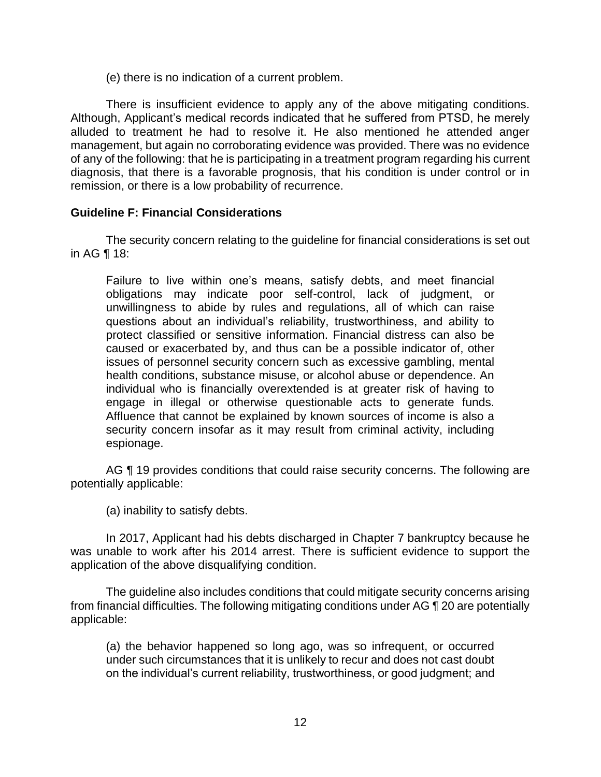(e) there is no indication of a current problem.

 There is insufficient evidence to apply any of the above mitigating conditions. Although, Applicant's medical records indicated that he suffered from PTSD, he merely alluded to treatment he had to resolve it. He also mentioned he attended anger management, but again no corroborating evidence was provided. There was no evidence of any of the following: that he is participating in a treatment program regarding his current diagnosis, that there is a favorable prognosis, that his condition is under control or in remission, or there is a low probability of recurrence.

# **Guideline F: Financial Considerations**

 The security concern relating to the guideline for financial considerations is set out in AG ¶ 18:

Failure to live within one's means, satisfy debts, and meet financial obligations may indicate poor self-control, lack of judgment, or unwillingness to abide by rules and regulations, all of which can raise questions about an individual's reliability, trustworthiness, and ability to protect classified or sensitive information. Financial distress can also be caused or exacerbated by, and thus can be a possible indicator of, other issues of personnel security concern such as excessive gambling, mental health conditions, substance misuse, or alcohol abuse or dependence. An individual who is financially overextended is at greater risk of having to engage in illegal or otherwise questionable acts to generate funds. Affluence that cannot be explained by known sources of income is also a security concern insofar as it may result from criminal activity, including espionage.

AG ¶ 19 provides conditions that could raise security concerns. The following are potentially applicable:

(a) inability to satisfy debts.

 In 2017, Applicant had his debts discharged in Chapter 7 bankruptcy because he was unable to work after his 2014 arrest. There is sufficient evidence to support the application of the above disqualifying condition.

 The guideline also includes conditions that could mitigate security concerns arising from financial difficulties. The following mitigating conditions under AG ¶ 20 are potentially applicable:

(a) the behavior happened so long ago, was so infrequent, or occurred under such circumstances that it is unlikely to recur and does not cast doubt on the individual's current reliability, trustworthiness, or good judgment; and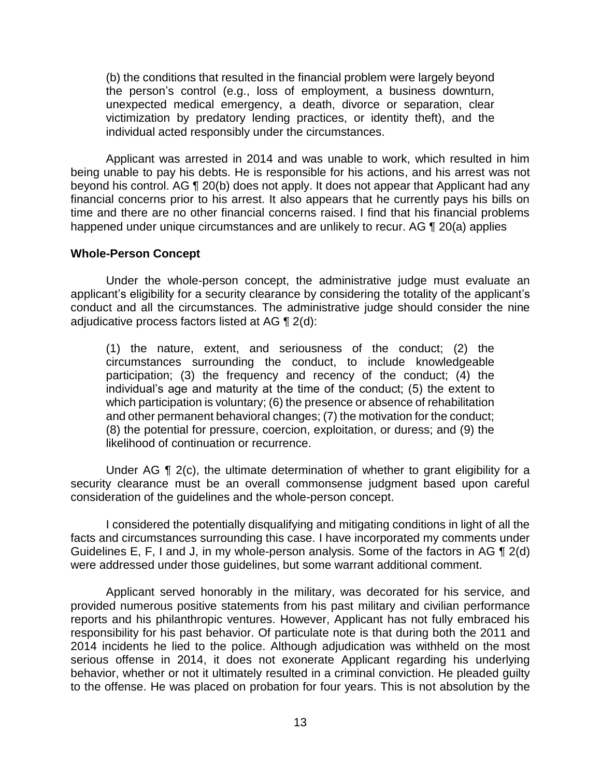(b) the conditions that resulted in the financial problem were largely beyond the person's control (e.g., loss of employment, a business downturn, unexpected medical emergency, a death, divorce or separation, clear victimization by predatory lending practices, or identity theft), and the individual acted responsibly under the circumstances.

 Applicant was arrested in 2014 and was unable to work, which resulted in him being unable to pay his debts. He is responsible for his actions, and his arrest was not beyond his control. AG ¶ 20(b) does not apply. It does not appear that Applicant had any financial concerns prior to his arrest. It also appears that he currently pays his bills on time and there are no other financial concerns raised. I find that his financial problems happened under unique circumstances and are unlikely to recur. AG ¶ 20(a) applies

### **Whole-Person Concept**

 Under the whole-person concept, the administrative judge must evaluate an applicant's eligibility for a security clearance by considering the totality of the applicant's conduct and all the circumstances. The administrative judge should consider the nine adjudicative process factors listed at AG ¶ 2(d):

(1) the nature, extent, and seriousness of the conduct; (2) the circumstances surrounding the conduct, to include knowledgeable participation; (3) the frequency and recency of the conduct; (4) the individual's age and maturity at the time of the conduct; (5) the extent to which participation is voluntary; (6) the presence or absence of rehabilitation and other permanent behavioral changes; (7) the motivation for the conduct; (8) the potential for pressure, coercion, exploitation, or duress; and (9) the likelihood of continuation or recurrence.

Under AG ¶ 2(c), the ultimate determination of whether to grant eligibility for a security clearance must be an overall commonsense judgment based upon careful consideration of the guidelines and the whole-person concept.

 I considered the potentially disqualifying and mitigating conditions in light of all the Guidelines E, F, I and J, in my whole-person analysis. Some of the factors in AG  $\P$  2(d) facts and circumstances surrounding this case. I have incorporated my comments under were addressed under those guidelines, but some warrant additional comment.

 Applicant served honorably in the military, was decorated for his service, and provided numerous positive statements from his past military and civilian performance reports and his philanthropic ventures. However, Applicant has not fully embraced his responsibility for his past behavior. Of particulate note is that during both the 2011 and 2014 incidents he lied to the police. Although adjudication was withheld on the most serious offense in 2014, it does not exonerate Applicant regarding his underlying behavior, whether or not it ultimately resulted in a criminal conviction. He pleaded guilty to the offense. He was placed on probation for four years. This is not absolution by the